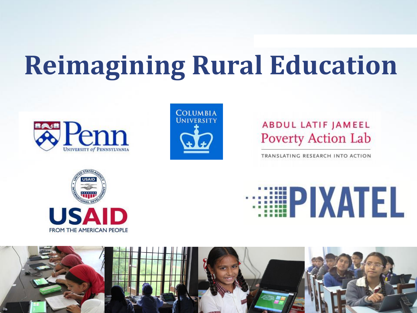## **Reimagining Rural Education**





#### **ABDUL LATIF JAMEEL Poverty Action Lab**

TRANSLATING RESEARCH INTO ACTION





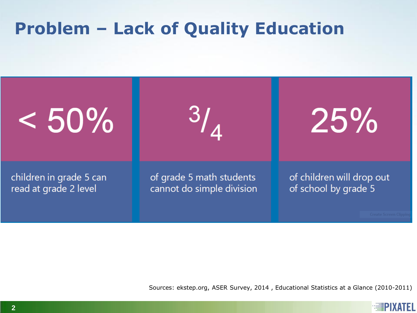### **Problem – Lack of Quality Education**



Sources: ekstep.org, ASER Survey, 2014 , Educational Statistics at a Glance (2010-2011)

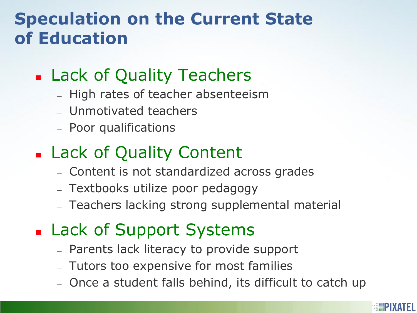#### **Speculation on the Current State of Education**

#### **Lack of Quality Teachers**

- High rates of teacher absenteeism
- Unmotivated teachers
- Poor qualifications
- **Lack of Quality Content** 
	- Content is not standardized across grades
	- Textbooks utilize poor pedagogy
	- Teachers lacking strong supplemental material
- **Lack of Support Systems** 
	- Parents lack literacy to provide support
	- Tutors too expensive for most families
	- Once a student falls behind, its difficult to catch up

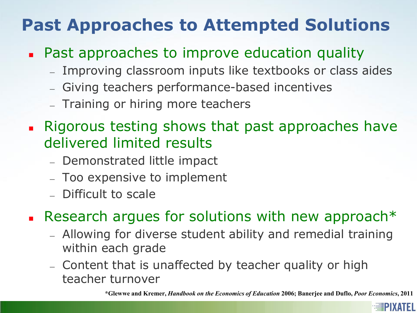### **Past Approaches to Attempted Solutions**

- **Past approaches to improve education quality** 
	- Improving classroom inputs like textbooks or class aides
	- Giving teachers performance-based incentives
	- Training or hiring more teachers
- **Rigorous testing shows that past approaches have** delivered limited results
	- Demonstrated little impact
	- Too expensive to implement
	- Difficult to scale

Research argues for solutions with new approach\*

- Allowing for diverse student ability and remedial training within each grade
- Content that is unaffected by teacher quality or high teacher turnover

**\*Glewwe and Kremer,** *Handbook on the Economics of Education* **2006; Banerjee and Duflo,** *Poor Economics***, 2011**

**MIPIXATEL**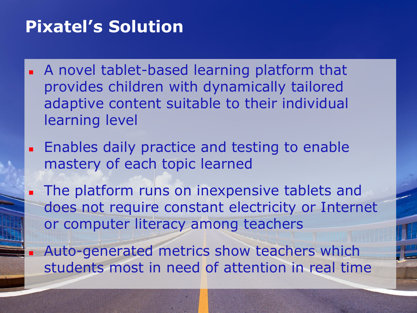#### **Pixatel's Solution**

- A novel tablet-based learning platform that provides children with dynamically tailored adaptive content suitable to their individual learning level
- **Enables daily practice and testing to enable** mastery of each topic learned
- The platform runs on inexpensive tablets and does not require constant electricity or Internet or computer literacy among teachers
	- Auto-generated metrics show teachers which students most in need of attention in real time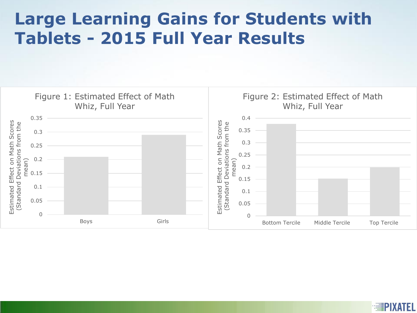#### **Large Learning Gains for Students with Tablets - 2015 Full Year Results**



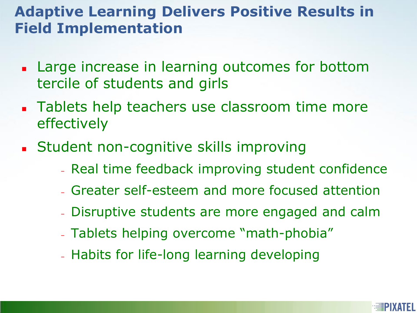#### **Adaptive Learning Delivers Positive Results in Field Implementation**

- **Large increase in learning outcomes for bottom** tercile of students and girls
- **Tablets help teachers use classroom time more** effectively
- **Student non-cognitive skills improving** 
	- Real time feedback improving student confidence
	- Greater self-esteem and more focused attention
	- Disruptive students are more engaged and calm
	- Tablets helping overcome "math-phobia"
	- Habits for life-long learning developing